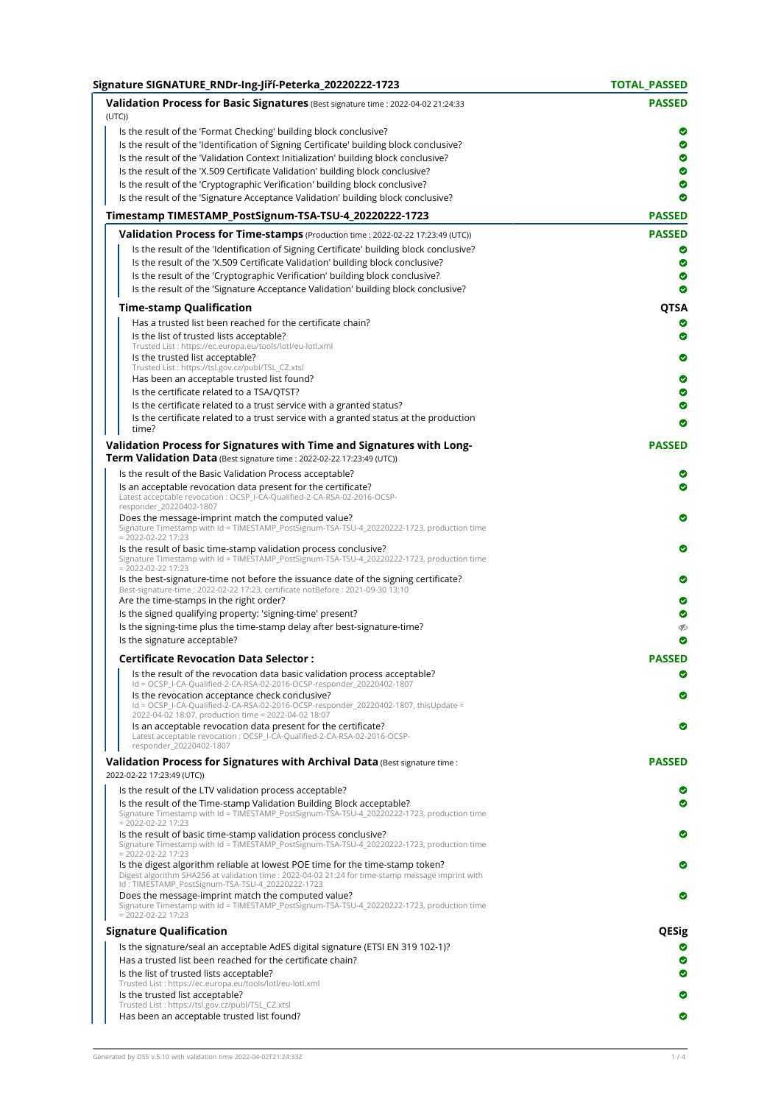| Signature SIGNATURE_RNDr-Ing-Jiří-Peterka_20220222-1723                                                                                                                                                                                                                                                                                        | <b>TOTAL PASSED</b> |
|------------------------------------------------------------------------------------------------------------------------------------------------------------------------------------------------------------------------------------------------------------------------------------------------------------------------------------------------|---------------------|
| Validation Process for Basic Signatures (Best signature time : 2022-04-02 21:24:33<br>(UTC)                                                                                                                                                                                                                                                    | <b>PASSED</b>       |
| Is the result of the 'Format Checking' building block conclusive?<br>Is the result of the 'Identification of Signing Certificate' building block conclusive?<br>Is the result of the 'Validation Context Initialization' building block conclusive?                                                                                            | ◎<br>◎<br>◎         |
| Is the result of the 'X.509 Certificate Validation' building block conclusive?                                                                                                                                                                                                                                                                 | ◎                   |
| Is the result of the 'Cryptographic Verification' building block conclusive?                                                                                                                                                                                                                                                                   | ◎                   |
| Is the result of the 'Signature Acceptance Validation' building block conclusive?                                                                                                                                                                                                                                                              | ◎                   |
| Timestamp TIMESTAMP_PostSignum-TSA-TSU-4_20220222-1723                                                                                                                                                                                                                                                                                         | <b>PASSED</b>       |
| Validation Process for Time-stamps (Production time: 2022-02-22 17:23:49 (UTC))                                                                                                                                                                                                                                                                | <b>PASSED</b>       |
| Is the result of the 'Identification of Signing Certificate' building block conclusive?<br>Is the result of the 'X.509 Certificate Validation' building block conclusive?<br>Is the result of the 'Cryptographic Verification' building block conclusive?<br>Is the result of the 'Signature Acceptance Validation' building block conclusive? | ◎<br>Ø<br>◎<br>Ø    |
| <b>Time-stamp Qualification</b>                                                                                                                                                                                                                                                                                                                | QTSA                |
| Has a trusted list been reached for the certificate chain?                                                                                                                                                                                                                                                                                     | ◎                   |
| Is the list of trusted lists acceptable?                                                                                                                                                                                                                                                                                                       | ◎                   |
| Trusted List : https://ec.europa.eu/tools/lotl/eu-lotl.xml<br>Is the trusted list acceptable?                                                                                                                                                                                                                                                  | ◎                   |
| Trusted List : https://tsl.gov.cz/publ/TSL_CZ.xtsl                                                                                                                                                                                                                                                                                             |                     |
| Has been an acceptable trusted list found?                                                                                                                                                                                                                                                                                                     | Ø                   |
| Is the certificate related to a TSA/QTST?<br>Is the certificate related to a trust service with a granted status?                                                                                                                                                                                                                              | Ø<br>◎              |
| Is the certificate related to a trust service with a granted status at the production                                                                                                                                                                                                                                                          | ◎                   |
| time?<br>Validation Process for Signatures with Time and Signatures with Long-                                                                                                                                                                                                                                                                 | <b>PASSED</b>       |
| Term Validation Data (Best signature time : 2022-02-22 17:23:49 (UTC))                                                                                                                                                                                                                                                                         |                     |
| Is the result of the Basic Validation Process acceptable?<br>Is an acceptable revocation data present for the certificate?<br>Latest acceptable revocation : OCSP_I-CA-Qualified-2-CA-RSA-02-2016-OCSP-<br>responder_20220402-1807                                                                                                             | ◎<br>◎              |
| Does the message-imprint match the computed value?<br>Signature Timestamp with Id = TIMESTAMP_PostSignum-TSA-TSU-4_20220222-1723, production time<br>$= 2022 - 02 - 22$ 17:23                                                                                                                                                                  | Ø                   |
| Is the result of basic time-stamp validation process conclusive?<br>Signature Timestamp with Id = TIMESTAMP_PostSignum-TSA-TSU-4_20220222-1723, production time<br>$= 2022 - 02 - 22$ 17:23                                                                                                                                                    | Ø                   |
| Is the best-signature-time not before the issuance date of the signing certificate?<br>Best-signature-time: 2022-02-22 17:23, certificate notBefore: 2021-09-30 13:10                                                                                                                                                                          | Ø                   |
| Are the time-stamps in the right order?<br>Is the signed qualifying property: 'signing-time' present?                                                                                                                                                                                                                                          | ◎<br>◎              |
| Is the signing-time plus the time-stamp delay after best-signature-time?                                                                                                                                                                                                                                                                       | V                   |
| Is the signature acceptable?                                                                                                                                                                                                                                                                                                                   | ◎                   |
| <b>Certificate Revocation Data Selector:</b>                                                                                                                                                                                                                                                                                                   | <b>PASSED</b>       |
| Is the result of the revocation data basic validation process acceptable?<br>Id = OCSP_I-CA-Qualified-2-CA-RSA-02-2016-OCSP-responder_20220402-1807                                                                                                                                                                                            | Ø                   |
| Is the revocation acceptance check conclusive?<br>Id = OCSP_I-CA-Qualified-2-CA-RSA-02-2016-OCSP-responder_20220402-1807, thisUpdate =<br>2022-04-02 18:07, production time = 2022-04-02 18:07                                                                                                                                                 | ◎                   |
| Is an acceptable revocation data present for the certificate?<br>Latest acceptable revocation : OCSP_I-CA-Qualified-2-CA-RSA-02-2016-OCSP-<br>responder_20220402-1807                                                                                                                                                                          | ◎                   |
| Validation Process for Signatures with Archival Data (Best signature time :<br>2022-02-22 17:23:49 (UTC))                                                                                                                                                                                                                                      | <b>PASSED</b>       |
| Is the result of the LTV validation process acceptable?<br>Is the result of the Time-stamp Validation Building Block acceptable?<br>Signature Timestamp with Id = TIMESTAMP_PostSignum-TSA-TSU-4_20220222-1723, production time<br>$= 2022 - 02 - 22$ 17:23                                                                                    | ◎<br>◎              |
| Is the result of basic time-stamp validation process conclusive?<br>Signature Timestamp with Id = TIMESTAMP_PostSignum-TSA-TSU-4_20220222-1723, production time<br>$= 2022 - 02 - 22$ 17:23                                                                                                                                                    | ◎                   |
| Is the digest algorithm reliable at lowest POE time for the time-stamp token?<br>Digest algorithm SHA256 at validation time : 2022-04-02 21:24 for time-stamp message imprint with<br>Id: TIMESTAMP_PostSignum-TSA-TSU-4_20220222-1723                                                                                                         | ◎                   |
| Does the message-imprint match the computed value?<br>Signature Timestamp with Id = TIMESTAMP_PostSignum-TSA-TSU-4_20220222-1723, production time<br>$= 2022 - 02 - 22$ 17:23                                                                                                                                                                  | ◎                   |
| <b>Signature Qualification</b>                                                                                                                                                                                                                                                                                                                 | QESig               |
| Is the signature/seal an acceptable AdES digital signature (ETSI EN 319 102-1)?                                                                                                                                                                                                                                                                |                     |
| Has a trusted list been reached for the certificate chain?                                                                                                                                                                                                                                                                                     | ◎                   |
| Is the list of trusted lists acceptable?<br>Trusted List : https://ec.europa.eu/tools/lotl/eu-lotl.xml                                                                                                                                                                                                                                         | ◓                   |
| Is the trusted list acceptable?                                                                                                                                                                                                                                                                                                                | ◎                   |
| Trusted List: https://tsl.gov.cz/publ/TSL_CZ.xtsl                                                                                                                                                                                                                                                                                              |                     |
| Has been an acceptable trusted list found?                                                                                                                                                                                                                                                                                                     | Ø                   |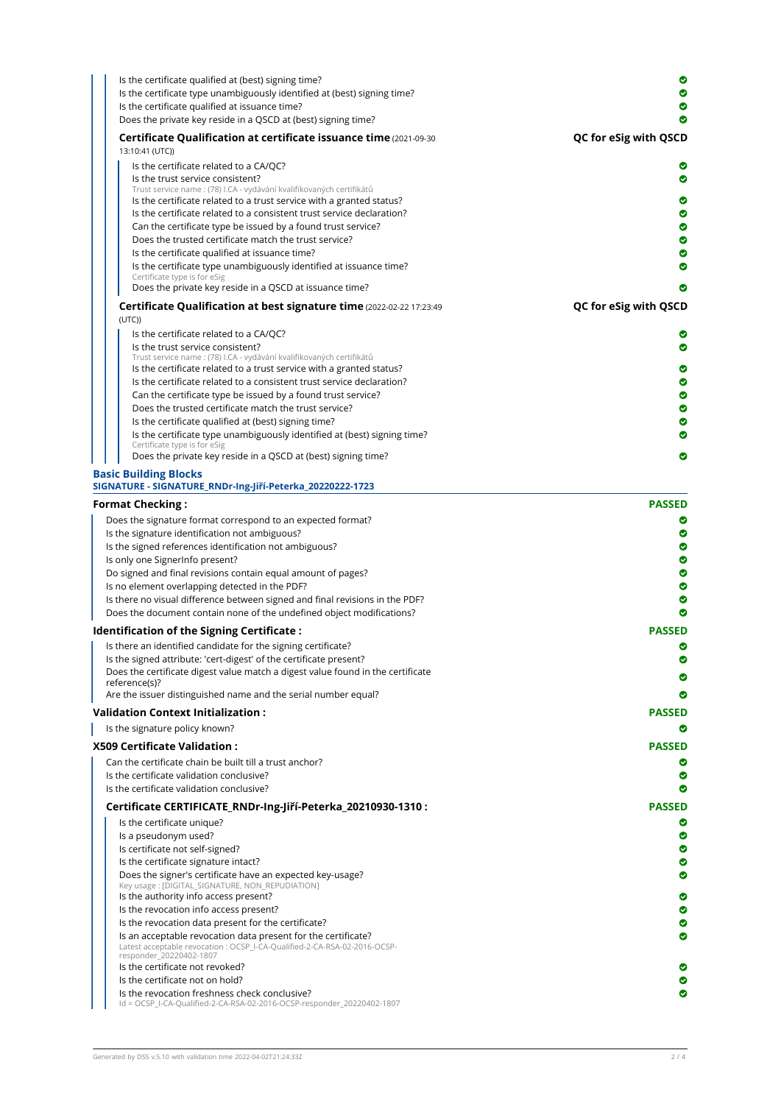| Is the certificate qualified at (best) signing time?<br>Is the certificate type unambiguously identified at (best) signing time?<br>Is the certificate qualified at issuance time? | Ø<br>◎                |
|------------------------------------------------------------------------------------------------------------------------------------------------------------------------------------|-----------------------|
| Does the private key reside in a QSCD at (best) signing time?                                                                                                                      | ◎                     |
| Certificate Qualification at certificate issuance time (2021-09-30)<br>13:10:41 (UTC))                                                                                             | QC for eSig with QSCD |
| Is the certificate related to a CA/QC?                                                                                                                                             | ◎                     |
| Is the trust service consistent?                                                                                                                                                   | ◎                     |
| Trust service name : (78) I.CA - vydávání kvalifikovaných certifikátů                                                                                                              |                       |
| Is the certificate related to a trust service with a granted status?<br>Is the certificate related to a consistent trust service declaration?                                      | Ø<br>◎                |
| Can the certificate type be issued by a found trust service?                                                                                                                       | ◎                     |
| Does the trusted certificate match the trust service?                                                                                                                              | ◎                     |
| Is the certificate qualified at issuance time?                                                                                                                                     | ◎                     |
| Is the certificate type unambiguously identified at issuance time?                                                                                                                 |                       |
| Certificate type is for eSig<br>Does the private key reside in a QSCD at issuance time?                                                                                            | Ø                     |
|                                                                                                                                                                                    |                       |
| Certificate Qualification at best signature time (2022-02-22 17:23:49<br>(UTC)                                                                                                     | QC for eSig with QSCD |
| Is the certificate related to a CA/QC?                                                                                                                                             |                       |
| Is the trust service consistent?                                                                                                                                                   | ◎                     |
| Trust service name : (78) I.CA - vydávání kvalifikovaných certifikátů                                                                                                              |                       |
| Is the certificate related to a trust service with a granted status?<br>Is the certificate related to a consistent trust service declaration?                                      | Ø<br>◎                |
| Can the certificate type be issued by a found trust service?                                                                                                                       | ◎                     |
| Does the trusted certificate match the trust service?                                                                                                                              | ◎                     |
| Is the certificate qualified at (best) signing time?                                                                                                                               | ◎                     |
| Is the certificate type unambiguously identified at (best) signing time?                                                                                                           | Ø                     |
| Certificate type is for eSig<br>Does the private key reside in a QSCD at (best) signing time?                                                                                      | Ø                     |
| <b>Basic Building Blocks</b>                                                                                                                                                       |                       |
| SIGNATURE - SIGNATURE_RNDr-Ing-Jiří-Peterka_20220222-1723                                                                                                                          |                       |
| <b>Format Checking :</b>                                                                                                                                                           | <b>PASSED</b>         |
| Does the signature format correspond to an expected format?                                                                                                                        | ◎                     |
| Is the signature identification not ambiguous?                                                                                                                                     | Ø                     |
| Is the signed references identification not ambiguous?                                                                                                                             | ◎                     |
| Is only one SignerInfo present?                                                                                                                                                    | ◎                     |
| Do signed and final revisions contain equal amount of pages?<br>Is no element overlapping detected in the PDF?                                                                     | ◉<br>◉                |
| Is there no visual difference between signed and final revisions in the PDF?                                                                                                       | ◎                     |
| Does the document contain none of the undefined object modifications?                                                                                                              |                       |
| ldentification of the Signing Certificate :                                                                                                                                        | <b>PASSED</b>         |
| Is there an identified candidate for the signing certificate?                                                                                                                      | Ø                     |
| Is the signed attribute: 'cert-digest' of the certificate present?                                                                                                                 | Ø                     |
| Does the certificate digest value match a digest value found in the certificate<br>reference(s)?                                                                                   |                       |
| Are the issuer distinguished name and the serial number equal?                                                                                                                     |                       |
| <b>Validation Context Initialization :</b>                                                                                                                                         | <b>PASSED</b>         |
| Is the signature policy known?                                                                                                                                                     | ◎                     |
|                                                                                                                                                                                    |                       |
| <b>X509 Certificate Validation :</b>                                                                                                                                               | <b>PASSED</b>         |
| Can the certificate chain be built till a trust anchor?<br>Is the certificate validation conclusive?                                                                               | Ø<br>Ø                |
| Is the certificate validation conclusive?                                                                                                                                          | Ø                     |
| Certificate CERTIFICATE_RNDr-Ing-Jiří-Peterka_20210930-1310 :                                                                                                                      | <b>PASSED</b>         |
| Is the certificate unique?                                                                                                                                                         | ◎                     |
| Is a pseudonym used?                                                                                                                                                               | ◎                     |
| Is certificate not self-signed?                                                                                                                                                    | ◎                     |
| Is the certificate signature intact?                                                                                                                                               | Ø                     |
| Does the signer's certificate have an expected key-usage?                                                                                                                          | ◎                     |
| Key usage: [DIGITAL_SIGNATURE, NON_REPUDIATION]<br>Is the authority info access present?                                                                                           | ◎                     |
| Is the revocation info access present?                                                                                                                                             | Ø                     |
| Is the revocation data present for the certificate?                                                                                                                                | Ø                     |
| Is an acceptable revocation data present for the certificate?                                                                                                                      | Ø                     |
| Latest acceptable revocation : OCSP_I-CA-Qualified-2-CA-RSA-02-2016-OCSP-<br>responder_20220402-1807                                                                               |                       |
| Is the certificate not revoked?                                                                                                                                                    |                       |
| Is the certificate not on hold?                                                                                                                                                    |                       |
| Is the revocation freshness check conclusive?<br>Id = OCSP_I-CA-Qualified-2-CA-RSA-02-2016-OCSP-responder_20220402-1807                                                            | Ø                     |
|                                                                                                                                                                                    |                       |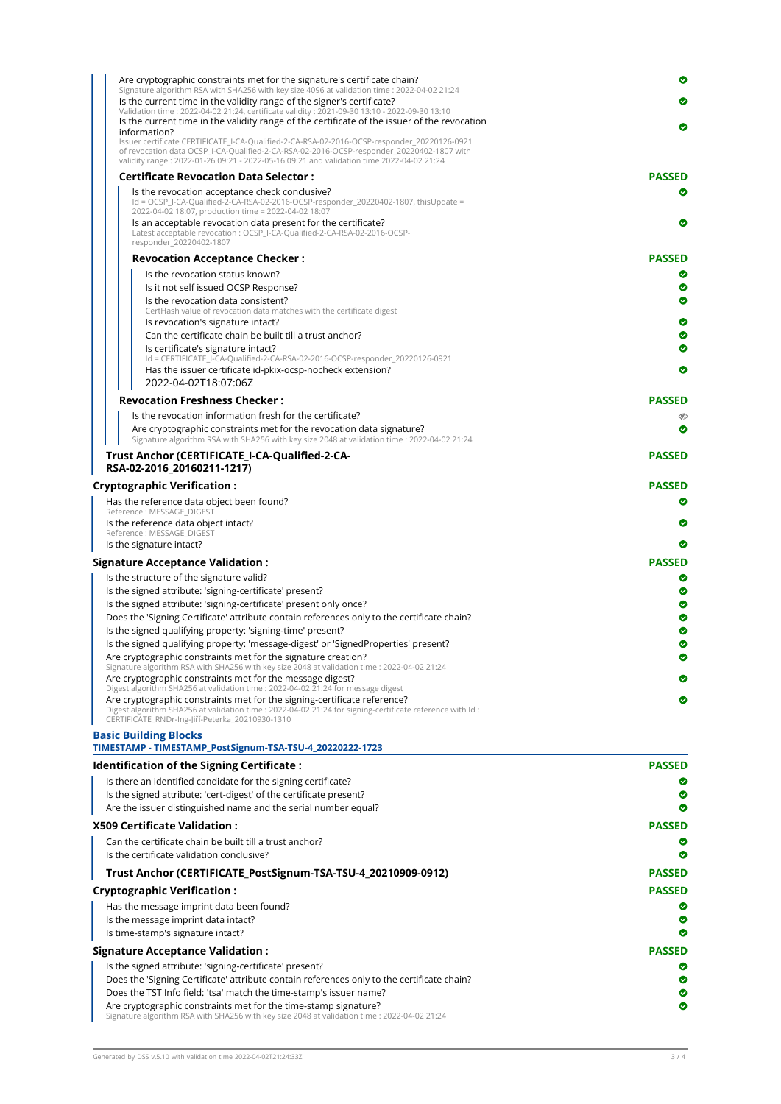| Trust Anchor (CERTIFICATE_PostSignum-TSA-TSU-4_20210909-0912)                                                                                                                                                                                                                         | <b>PASSED</b> |
|---------------------------------------------------------------------------------------------------------------------------------------------------------------------------------------------------------------------------------------------------------------------------------------|---------------|
| Is the certificate validation conclusive?                                                                                                                                                                                                                                             |               |
| Can the certificate chain be built till a trust anchor?                                                                                                                                                                                                                               | Ø             |
| <b>X509 Certificate Validation :</b>                                                                                                                                                                                                                                                  | <b>PASSED</b> |
| Are the issuer distinguished name and the serial number equal?                                                                                                                                                                                                                        | ◎             |
| Is the signed attribute: 'cert-digest' of the certificate present?                                                                                                                                                                                                                    | ◎             |
| Is there an identified candidate for the signing certificate?                                                                                                                                                                                                                         |               |
| <b>Identification of the Signing Certificate:</b>                                                                                                                                                                                                                                     | <b>PASSED</b> |
| <b>Basic Building Blocks</b><br>TIMESTAMP - TIMESTAMP_PostSignum-TSA-TSU-4_20220222-1723                                                                                                                                                                                              |               |
| Digest algorithm SHA256 at validation time : 2022-04-02 21:24 for signing-certificate reference with ld :<br>CERTIFICATE_RNDr-Ing-Jiří-Peterka_20210930-1310                                                                                                                          |               |
| Are cryptographic constraints met for the signing-certificate reference?                                                                                                                                                                                                              | ◎             |
| Are cryptographic constraints met for the message digest?<br>Digest algorithm SHA256 at validation time : 2022-04-02 21:24 for message digest                                                                                                                                         |               |
| Signature algorithm RSA with SHA256 with key size 2048 at validation time : 2022-04-02 21:24                                                                                                                                                                                          |               |
| Are cryptographic constraints met for the signature creation?                                                                                                                                                                                                                         | Ø             |
| Is the signed qualifying property: 'signing-time' present?<br>Is the signed qualifying property: 'message-digest' or 'SignedProperties' present?                                                                                                                                      | ◎<br>◓        |
| Does the 'Signing Certificate' attribute contain references only to the certificate chain?                                                                                                                                                                                            | ◎             |
| Is the signed attribute: 'signing-certificate' present only once?                                                                                                                                                                                                                     | ◎             |
| Is the signed attribute: 'signing-certificate' present?                                                                                                                                                                                                                               | ◎             |
| Is the structure of the signature valid?                                                                                                                                                                                                                                              | Ø             |
| <b>Signature Acceptance Validation :</b>                                                                                                                                                                                                                                              | <b>PASSED</b> |
| Is the signature intact?                                                                                                                                                                                                                                                              | ◎             |
| Is the reference data object intact?<br>Reference: MESSAGE_DIGEST                                                                                                                                                                                                                     | ◎             |
| Has the reference data object been found?<br>Reference : MESSAGE DIGEST                                                                                                                                                                                                               | Ø             |
| <b>Cryptographic Verification :</b>                                                                                                                                                                                                                                                   | <b>PASSED</b> |
| Trust Anchor (CERTIFICATE I-CA-Qualified-2-CA-<br>RSA-02-2016 20160211-1217)                                                                                                                                                                                                          | <b>PASSED</b> |
| Are cryptographic constraints met for the revocation data signature?<br>Signature algorithm RSA with SHA256 with key size 2048 at validation time : 2022-04-02 21:24                                                                                                                  |               |
| Is the revocation information fresh for the certificate?                                                                                                                                                                                                                              | Ø<br>Ø        |
| <b>Revocation Freshness Checker:</b>                                                                                                                                                                                                                                                  | <b>PASSED</b> |
| 2022-04-02T18:07:06Z                                                                                                                                                                                                                                                                  |               |
| Has the issuer certificate id-pkix-ocsp-nocheck extension?                                                                                                                                                                                                                            | Ø             |
| Is certificate's signature intact?<br>Id = CERTIFICATE_I-CA-Qualified-2-CA-RSA-02-2016-OCSP-responder_20220126-0921                                                                                                                                                                   | ◎             |
| Can the certificate chain be built till a trust anchor?                                                                                                                                                                                                                               | ◎             |
| Is revocation's signature intact?                                                                                                                                                                                                                                                     | ◎             |
| Is the revocation data consistent?<br>CertHash value of revocation data matches with the certificate digest                                                                                                                                                                           |               |
| Is it not self issued OCSP Response?                                                                                                                                                                                                                                                  | Ø<br>◎        |
| Is the revocation status known?                                                                                                                                                                                                                                                       | Ø             |
| <b>Revocation Acceptance Checker:</b>                                                                                                                                                                                                                                                 | <b>PASSED</b> |
| Latest acceptable revocation : OCSP_I-CA-Qualified-2-CA-RSA-02-2016-OCSP-<br>responder_20220402-1807                                                                                                                                                                                  |               |
| Id = OCSP I-CA-Qualified-2-CA-RSA-02-2016-OCSP-responder 20220402-1807, thisUpdate =<br>2022-04-02 18:07, production time = 2022-04-02 18:07<br>Is an acceptable revocation data present for the certificate?                                                                         | Ø             |
| Is the revocation acceptance check conclusive?                                                                                                                                                                                                                                        | ◎             |
| <b>Certificate Revocation Data Selector:</b>                                                                                                                                                                                                                                          | <b>PASSED</b> |
| Issuer certificate CERTIFICATE I-CA-Qualified-2-CA-RSA-02-2016-OCSP-responder 20220126-0921<br>of revocation data OCSP_I-CA-Qualified-2-CA-RSA-02-2016-OCSP-responder_20220402-1807 with<br>validity range : 2022-01-26 09:21 - 2022-05-16 09:21 and validation time 2022-04-02 21:24 |               |
| information?                                                                                                                                                                                                                                                                          | ◎             |
|                                                                                                                                                                                                                                                                                       |               |
| Validation time: 2022-04-02 21:24, certificate validity: 2021-09-30 13:10 - 2022-09-30 13:10<br>Is the current time in the validity range of the certificate of the issuer of the revocation                                                                                          |               |
| Signature algorithm RSA with SHA256 with key size 4096 at validation time : 2022-04-02 21:24<br>Is the current time in the validity range of the signer's certificate?                                                                                                                | Ø             |

| <b>Cryptographic Verification :</b>                                                                                                                             | <b>PASSED</b> |
|-----------------------------------------------------------------------------------------------------------------------------------------------------------------|---------------|
| Has the message imprint data been found?                                                                                                                        | ◉             |
| Is the message imprint data intact?                                                                                                                             | ø             |
| Is time-stamp's signature intact?                                                                                                                               | ◉             |
| <b>Signature Acceptance Validation :</b>                                                                                                                        | <b>PASSED</b> |
| Is the signed attribute: 'signing-certificate' present?                                                                                                         | $\bullet$     |
| Does the 'Signing Certificate' attribute contain references only to the certificate chain?                                                                      | Ø             |
| Does the TST Info field: 'tsa' match the time-stamp's issuer name?                                                                                              | ◉             |
| Are cryptographic constraints met for the time-stamp signature?<br>Signature algorithm RSA with SHA256 with key size 2048 at validation time : 2022-04-02 21:24 | $\bullet$     |